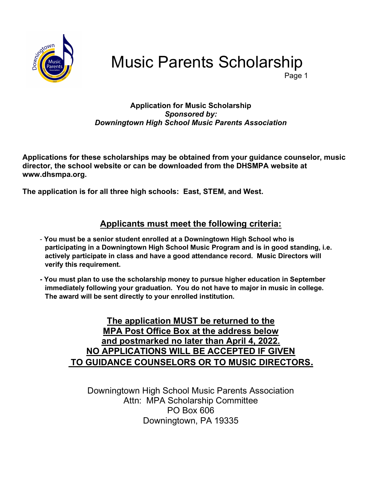

Music Parents Scholarship

e de la contradición de la contradición de la contradición de la contradición de la contradición de la contrad

#### Application for Music Scholarship Sponsored by: Downingtown High School Music Parents Association

Applications for these scholarships may be obtained from your guidance counselor, music director, the school website or can be downloaded from the DHSMPA website at www.dhsmpa.org.

The application is for all three high schools: East, STEM, and West.

### Applicants must meet the following criteria:

- You must be a senior student enrolled at a Downingtown High School who is participating in a Downingtown High School Music Program and is in good standing, i.e. actively participate in class and have a good attendance record. Music Directors will verify this requirement.
- You must plan to use the scholarship money to pursue higher education in September immediately following your graduation. You do not have to major in music in college. The award will be sent directly to your enrolled institution.

The application MUST be returned to the MPA Post Office Box at the address below and postmarked no later than April 4, 2022. NO APPLICATIONS WILL BE ACCEPTED IF GIVEN TO GUIDANCE COUNSELORS OR TO MUSIC DIRECTORS.

Downingtown High School Music Parents Association Attn: MPA Scholarship Committee PO Box 606 Downingtown, PA 19335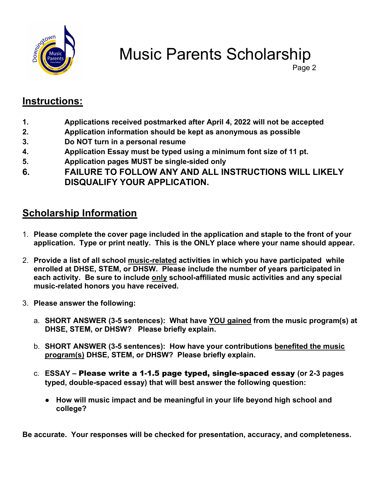

Music Parents Scholarship

Page 2

## Instructions:

- 1. Applications received postmarked after April 4, 2022 will not be accepted
- 2. Application information should be kept as anonymous as possible
- 3. Do NOT turn in a personal resume
- 4. Application Essay must be typed using a minimum font size of 11 pt.
- 5. Application pages MUST be single-sided only
- 6. FAILURE TO FOLLOW ANY AND ALL INSTRUCTIONS WILL LIKELY DISQUALIFY YOUR APPLICATION.

## Scholarship Information

- 1. Please complete the cover page included in the application and staple to the front of your application. Type or print neatly. This is the ONLY place where your name should appear.
- 2. Provide a list of all school music-related activities in which you have participated while enrolled at DHSE, STEM, or DHSW. Please include the number of years participated in each activity. Be sure to include only school-affiliated music activities and any special music-related honors you have received.
- 3. Please answer the following:
	- a. SHORT ANSWER (3-5 sentences): What have YOU gained from the music program(s) at DHSE, STEM, or DHSW? Please briefly explain.
	- b. SHORT ANSWER (3-5 sentences): How have your contributions benefited the music program(s) DHSE, STEM, or DHSW? Please briefly explain.
	- c. ESSAY Please write a 1-1.5 page typed, single-spaced essay (or 2-3 pages typed, double-spaced essay) that will best answer the following question:
		- How will music impact and be meaningful in your life beyond high school and college?

Be accurate. Your responses will be checked for presentation, accuracy, and completeness.